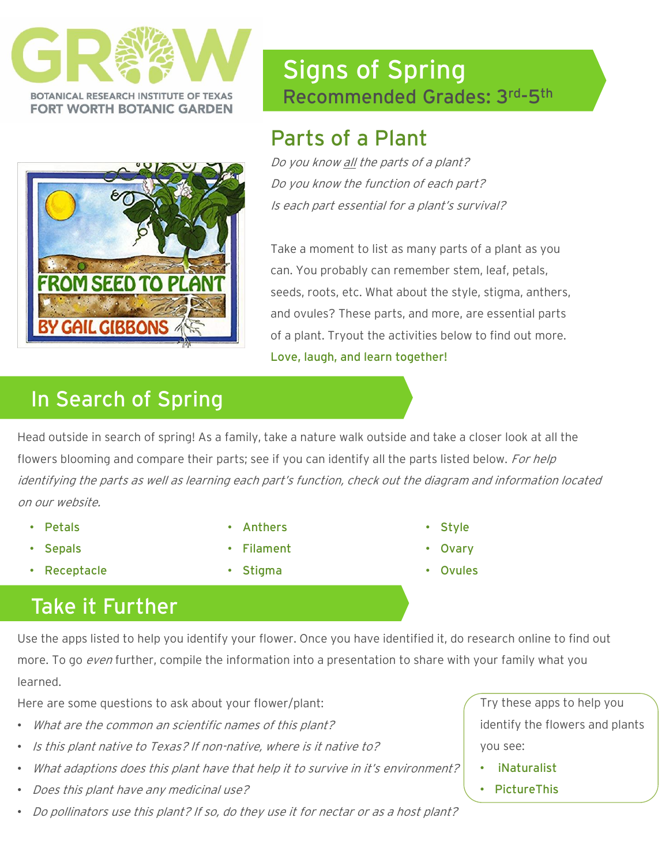



# Signs of Spring Recommended Grades: 3rd -5th

## Parts of a Plant

Do you know all the parts of a plant? Do you know the function of each part? Is each part essential for a plant's survival?

Take a moment to list as many parts of a plant as you can. You probably can remember stem, leaf, petals, seeds, roots, etc. What about the style, stigma, anthers, and ovules? These parts, and more, are essential parts of a plant. Tryout the activities below to find out more. Love, laugh, and learn together!

# In Search of Spring

Head outside in search of spring! As a family, take a nature walk outside and take a closer look at all the flowers blooming and compare their parts; see if you can identify all the parts listed below. For help identifying the parts as well as learning each part's function, check out the diagram and information located on our website.

- Petals
- Sepals
- Receptacle
- **Anthers**
- **Filament**
- Stigma
- Style
- **Ovary**
- **Ovules**

## Take it Further

Use the apps listed to help you identify your flower. Once you have identified it, do research online to find out more. To go *even* further, compile the information into a presentation to share with your family what you learned.

Here are some questions to ask about your flower/plant:

- What are the common an scientific names of this plant?
- Is this plant native to Texas? If non-native, where is it native to?
- What adaptions does this plant have that help it to survive in it's environment?
- Does this plant have any medicinal use?
- Do pollinators use this plant? If so, do they use it for nectar or as a host plant?

Try these apps to help you identify the flowers and plants you see:

- iNaturalist
- PictureThis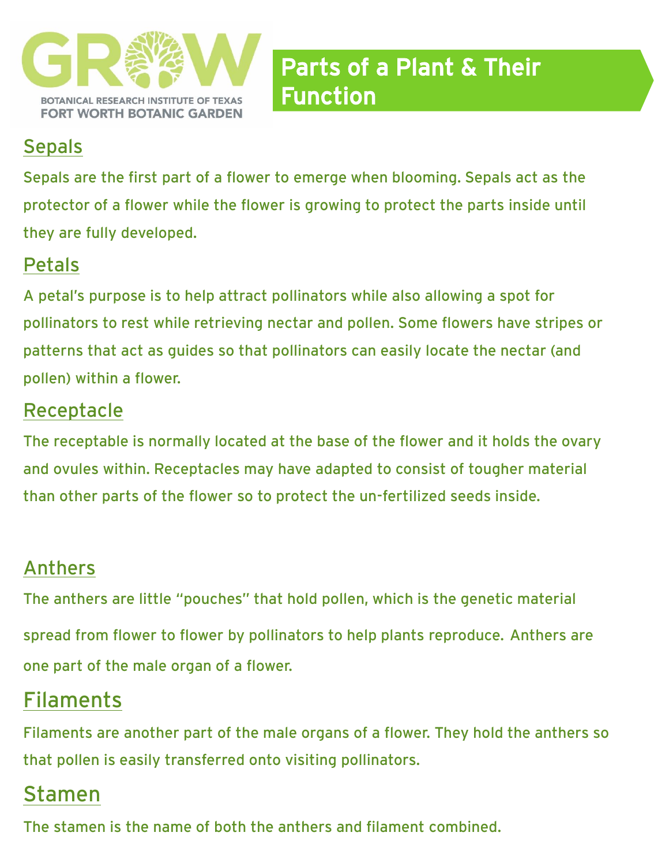

#### **Sepals**

Sepals are the first part of a flower to emerge when blooming. Sepals act as the protector of a flower while the flower is growing to protect the parts inside until they are fully developed.

### Petals

A petal's purpose is to help attract pollinators while also allowing a spot for pollinators to rest while retrieving nectar and pollen. Some flowers have stripes or patterns that act as guides so that pollinators can easily locate the nectar (and pollen) within a flower.

#### Receptacle

The receptable is normally located at the base of the flower and it holds the ovary and ovules within. Receptacles may have adapted to consist of tougher material than other parts of the flower so to protect the un-fertilized seeds inside.

### Anthers

The anthers are little "pouches" that hold pollen, which is the genetic material spread from flower to flower by pollinators to help plants reproduce. Anthers are one part of the male organ of a flower.

## Filaments

Filaments are another part of the male organs of a flower. They hold the anthers so that pollen is easily transferred onto visiting pollinators.

### Stamen

The stamen is the name of both the anthers and filament combined.